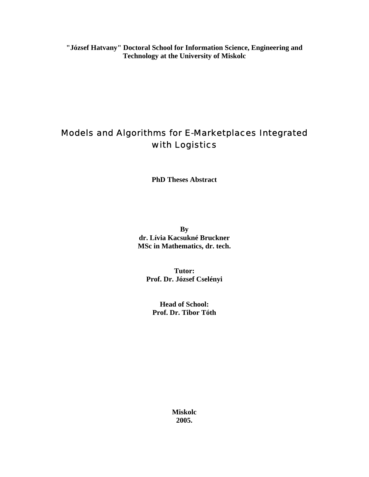**"József Hatvany" Doctoral School for Information Science, Engineering and Technology at the University of Miskolc** 

# Models and Algorithms for E-Marketplaces Integrated with Logistics

**PhD Theses Abstract** 

**By dr. Lívia Kacsukné Bruckner MSc in Mathematics, dr. tech.** 

**Tutor: Prof. Dr. József Cselényi** 

**Head of School: Prof. Dr. Tibor Tóth** 

> **Miskolc 2005.**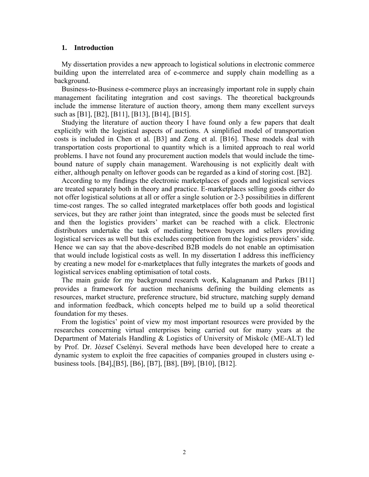## **1. Introduction**

My dissertation provides a new approach to logistical solutions in electronic commerce building upon the interrelated area of e-commerce and supply chain modelling as a background.

Business-to-Business e-commerce plays an increasingly important role in supply chain management facilitating integration and cost savings. The theoretical backgrounds include the immense literature of auction theory, among them many excellent surveys such as [B1], [B2], [B11], [B13], [B14], [B15].

Studying the literature of auction theory I have found only a few papers that dealt explicitly with the logistical aspects of auctions. A simplified model of transportation costs is included in Chen et al*.* [B3] and Zeng et al. [B16]. These models deal with transportation costs proportional to quantity which is a limited approach to real world problems. I have not found any procurement auction models that would include the timebound nature of supply chain management. Warehousing is not explicitly dealt with either, although penalty on leftover goods can be regarded as a kind of storing cost. [B2].

According to my findings the electronic marketplaces of goods and logistical services are treated separately both in theory and practice. E-marketplaces selling goods either do not offer logistical solutions at all or offer a single solution or 2-3 possibilities in different time-cost ranges. The so called integrated marketplaces offer both goods and logistical services, but they are rather joint than integrated, since the goods must be selected first and then the logistics providers' market can be reached with a click. Electronic distributors undertake the task of mediating between buyers and sellers providing logistical services as well but this excludes competition from the logistics providers' side. Hence we can say that the above-described B2B models do not enable an optimisation that would include logistical costs as well. In my dissertation I address this inefficiency by creating a new model for e-marketplaces that fully integrates the markets of goods and logistical services enabling optimisation of total costs.

The main guide for my background research work, Kalagnanam and Parkes [B11] provides a framework for auction mechanisms defining the building elements as resources, market structure, preference structure, bid structure, matching supply demand and information feedback, which concepts helped me to build up a solid theoretical foundation for my theses.

From the logistics' point of view my most important resources were provided by the researches concerning virtual enterprises being carried out for many years at the Department of Materials Handling & Logistics of University of Miskolc (ME-ALT) led by Prof. Dr. József Cselényi. Several methods have been developed here to create a dynamic system to exploit the free capacities of companies grouped in clusters using ebusiness tools. [B4],[B5], [B6], [B7], [B8], [B9], [B10], [B12].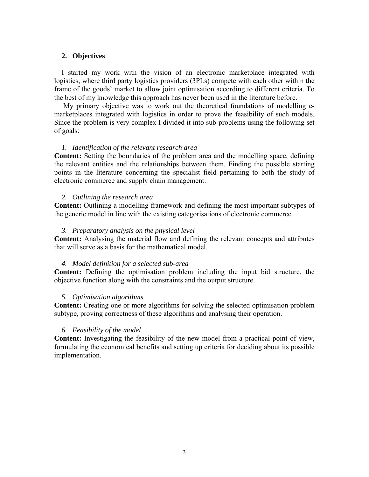# **2. Objectives**

I started my work with the vision of an electronic marketplace integrated with logistics, where third party logistics providers (3PLs) compete with each other within the frame of the goods' market to allow joint optimisation according to different criteria. To the best of my knowledge this approach has never been used in the literature before.

 My primary objective was to work out the theoretical foundations of modelling emarketplaces integrated with logistics in order to prove the feasibility of such models. Since the problem is very complex I divided it into sub-problems using the following set of goals:

# *1. Identification of the relevant research area*

**Content:** Setting the boundaries of the problem area and the modelling space, defining the relevant entities and the relationships between them. Finding the possible starting points in the literature concerning the specialist field pertaining to both the study of electronic commerce and supply chain management.

# *2. Outlining the research area*

**Content:** Outlining a modelling framework and defining the most important subtypes of the generic model in line with the existing categorisations of electronic commerce.

# *3. Preparatory analysis on the physical level*

**Content:** Analysing the material flow and defining the relevant concepts and attributes that will serve as a basis for the mathematical model.

# *4. Model definition for a selected sub-area*

**Content:** Defining the optimisation problem including the input bid structure, the objective function along with the constraints and the output structure.

# *5. Optimisation algorithms*

**Content:** Creating one or more algorithms for solving the selected optimisation problem subtype, proving correctness of these algorithms and analysing their operation.

# *6. Feasibility of the model*

**Content:** Investigating the feasibility of the new model from a practical point of view, formulating the economical benefits and setting up criteria for deciding about its possible implementation.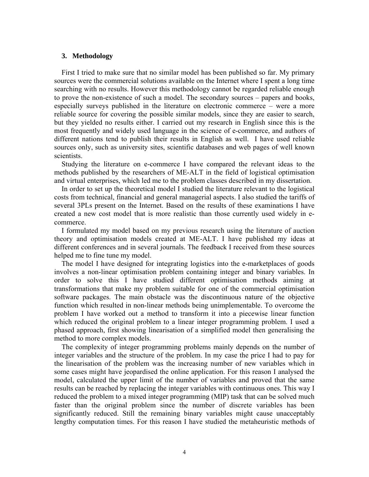# **3. Methodology**

First I tried to make sure that no similar model has been published so far. My primary sources were the commercial solutions available on the Internet where I spent a long time searching with no results. However this methodology cannot be regarded reliable enough to prove the non-existence of such a model. The secondary sources – papers and books, especially surveys published in the literature on electronic commerce – were a more reliable source for covering the possible similar models, since they are easier to search, but they yielded no results either. I carried out my research in English since this is the most frequently and widely used language in the science of e-commerce, and authors of different nations tend to publish their results in English as well. I have used reliable sources only, such as university sites, scientific databases and web pages of well known scientists.

Studying the literature on e-commerce I have compared the relevant ideas to the methods published by the researchers of ME-ALT in the field of logistical optimisation and virtual enterprises, which led me to the problem classes described in my dissertation.

In order to set up the theoretical model I studied the literature relevant to the logistical costs from technical, financial and general managerial aspects. I also studied the tariffs of several 3PLs present on the Internet. Based on the results of these examinations I have created a new cost model that is more realistic than those currently used widely in ecommerce.

I formulated my model based on my previous research using the literature of auction theory and optimisation models created at ME-ALT. I have published my ideas at different conferences and in several journals. The feedback I received from these sources helped me to fine tune my model.

The model I have designed for integrating logistics into the e-marketplaces of goods involves a non-linear optimisation problem containing integer and binary variables. In order to solve this I have studied different optimisation methods aiming at transformations that make my problem suitable for one of the commercial optimisation software packages. The main obstacle was the discontinuous nature of the objective function which resulted in non-linear methods being unimplementable. To overcome the problem I have worked out a method to transform it into a piecewise linear function which reduced the original problem to a linear integer programming problem. I used a phased approach, first showing linearisation of a simplified model then generalising the method to more complex models.

The complexity of integer programming problems mainly depends on the number of integer variables and the structure of the problem. In my case the price I had to pay for the linearisation of the problem was the increasing number of new variables which in some cases might have jeopardised the online application. For this reason I analysed the model, calculated the upper limit of the number of variables and proved that the same results can be reached by replacing the integer variables with continuous ones. This way I reduced the problem to a mixed integer programming (MIP) task that can be solved much faster than the original problem since the number of discrete variables has been significantly reduced. Still the remaining binary variables might cause unacceptably lengthy computation times. For this reason I have studied the metaheuristic methods of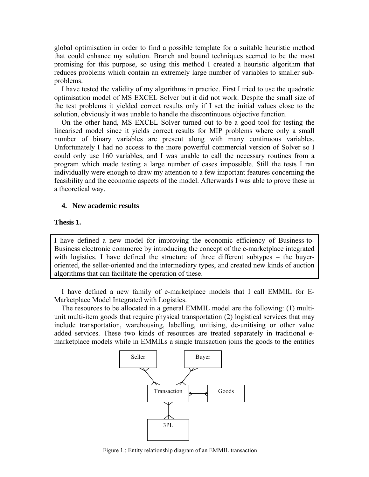global optimisation in order to find a possible template for a suitable heuristic method that could enhance my solution. Branch and bound techniques seemed to be the most promising for this purpose, so using this method I created a heuristic algorithm that reduces problems which contain an extremely large number of variables to smaller subproblems.

I have tested the validity of my algorithms in practice. First I tried to use the quadratic optimisation model of MS EXCEL Solver but it did not work. Despite the small size of the test problems it yielded correct results only if I set the initial values close to the solution, obviously it was unable to handle the discontinuous objective function.

On the other hand, MS EXCEL Solver turned out to be a good tool for testing the linearised model since it yields correct results for MIP problems where only a small number of binary variables are present along with many continuous variables. Unfortunately I had no access to the more powerful commercial version of Solver so I could only use 160 variables, and I was unable to call the necessary routines from a program which made testing a large number of cases impossible. Still the tests I ran individually were enough to draw my attention to a few important features concerning the feasibility and the economic aspects of the model. Afterwards I was able to prove these in a theoretical way.

# **4. New academic results**

# **Thesis 1.**

I have defined a new model for improving the economic efficiency of Business-to-Business electronic commerce by introducing the concept of the e-marketplace integrated with logistics. I have defined the structure of three different subtypes – the buyeroriented, the seller-oriented and the intermediary types, and created new kinds of auction algorithms that can facilitate the operation of these.

I have defined a new family of e-marketplace models that I call EMMIL for E-Marketplace Model Integrated with Logistics.

The resources to be allocated in a general EMMIL model are the following: (1) multiunit multi-item goods that require physical transportation (2) logistical services that may include transportation, warehousing, labelling, unitising, de-unitising or other value added services. These two kinds of resources are treated separately in traditional emarketplace models while in EMMILs a single transaction joins the goods to the entities



Figure 1.: Entity relationship diagram of an EMMIL transaction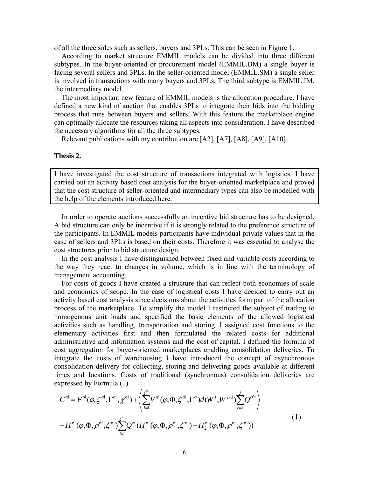of all the three sides such as sellers, buyers and 3PLs. This can be seen in Figure 1.

According to market structure EMMIL models can be divided into three different subtypes. In the buyer-oriented or procurement model (EMMIL.BM) a single buyer is facing several sellers and 3PLs. In the seller-oriented model (EMMIL.SM) a single seller is involved in transactions with many buyers and 3PLs. The third subtype is EMMIL.IM, the intermediary model.

The most important new feature of EMMIL models is the allocation procedure. I have defined a new kind of auction that enables 3PLs to integrate their bids into the bidding process that runs between buyers and sellers. With this feature the marketplace engine can optimally allocate the resources taking all aspects into consideration. I have described the necessary algorithms for all the three subtypes.

Relevant publications with my contribution are [A2], [A7], [A8], [A9], [A10].

#### **Thesis 2.**

I have investigated the cost structure of transactions integrated with logistics. I have carried out an activity based cost analysis for the buyer-oriented marketplace and proved that the cost structure of seller-oriented and intermediary types can also be modelled with the help of the elements introduced here.

In order to operate auctions successfully an incentive bid structure has to be designed. A bid structure can only be incentive if it is strongly related to the preference structure of the participants. In EMMIL models participants have individual private values that in the case of sellers and 3PLs is based on their costs. Therefore it was essential to analyse the cost structures prior to bid structure design.

In the cost analysis I have distinguished between fixed and variable costs according to the way they react to changes in volume, which is in line with the terminology of management accounting.

For costs of goods I have created a structure that can reflect both economies of scale and economies of scope. In the case of logistical costs I have decided to carry out an activity based cost analysis since decisions about the activities form part of the allocation process of the marketplace. To simplify the model I restricted the subject of trading to homogenous unit loads and specified the basic elements of the allowed logistical activities such as handling, transportation and storing. I assigned cost functions to the elementary activities first and then formulated the related costs for additional administrative and information systems and the cost of capital. I defined the formula of cost aggregation for buyer-oriented marketplaces enabling consolidation deliveries. To integrate the costs of warehousing I have introduced the concept of asynchronous consolidation delivery for collecting, storing and delivering goods available at different times and locations. Costs of traditional (synchronous) consolidation deliveries are expressed by Formula (1).

$$
C^{\text{ol}} = F^{\text{ol}}(\varphi, \zeta^{\text{ol}}, \Gamma^{\text{ol}}, \chi^{\text{ol}}) + \left\langle \sum_{j=1}^{\chi^{\text{ol}}} V^{\text{ol}}(\varphi, \Phi, \zeta^{\text{ol}}, \Gamma^{\text{ol}}) d(W^{j}, W^{j+1}) \sum_{r=1}^{j} Q^{\text{ol}r} \right\rangle
$$
  
+ 
$$
H^{\text{ol}}(\varphi, \Phi, \rho^{\text{ol}}, \zeta^{\text{ol}}) \sum_{j=1}^{\chi^{\text{ol}}} Q^{\text{ol}}(H_1^{\text{ol}}(\varphi, \Phi, \rho^{\text{ol}}, \zeta^{\text{ol}}) + H_2^{\text{ol}}(\varphi, \Phi, \rho^{\text{ol}}, \zeta^{\text{ol}}))
$$

$$
(1)
$$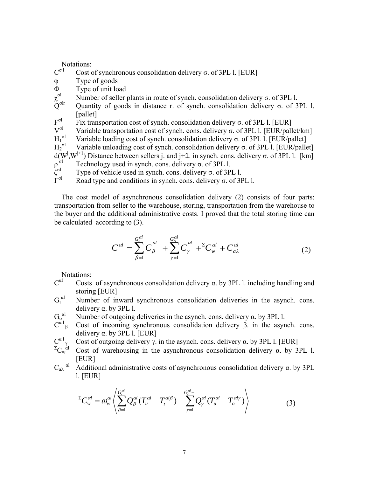Notations:<br> $C^{\sigma}$ <sup>1</sup> Cost of

- Cost of synchronous consolidation delivery σ. of 3PL l. [EUR]
- φ Type of goods
- Φ Type of unit load
- χ σl Number of seller plants in route of synch. consolidation delivery σ. of 3PL l.
- Quantity of goods in distance r. of synch. consolidation delivery  $\sigma$ . of 3PL l. [pallet]
- $F^{\sigma l}$ Fix transportation cost of synch. consolidation delivery σ. of 3PL l. [EUR]
- V<sup>σ</sup><sup>l</sup> Variable transportation cost of synch. cons. delivery σ. of 3PL l. [EUR/pallet/km]
- $\mathrm{H_1}^{\sigma l}$ Variable loading cost of synch. consolidation delivery σ. of 3PL l. [EUR/pallet]
- $\text{H}_{2}^{\,\,\sigma\text{l}}$  Variable unloading cost of synch. consolidation delivery σ. of 3PL l. [EUR/pallet]  $d(W^j, W^{j+1})$  Distance between sellers j. and j+1. in synch. cons. delivery σ. of 3PL l. [km]
- $\rho^{\tilde{\sigma}l}$ Technology used in synch. cons. delivery σ. of 3PL l.
- ζ σl Type of vehicle used in synch. cons. delivery σ. of 3PL l.
- $\tilde{\Gamma}^{\sigma l}$ Road type and conditions in synch. cons. delivery σ. of 3PL l.

The cost model of asynchronous consolidation delivery (2) consists of four parts: transportation from seller to the warehouse, storing, transportation from the warehouse to the buyer and the additional administrative costs. I proved that the total storing time can be calculated according to (3).

$$
C^{al} = \sum_{\beta=1}^{G_{l}^{al}} C_{\beta}^{al} + \sum_{\gamma=1}^{G_{o}^{al}} C_{\gamma}^{al} + {}^{ \Sigma}C_{w}^{al} + C_{a\lambda}^{al} \qquad (2)
$$

Notations:

- $C^{al}$ Costs of asynchronous consolidation delivery  $\alpha$ . by 3PL 1. including handling and storing [EUR]
- $G_\iota{}^{\text{al}}$  Number of inward synchronous consolidation deliveries in the asynch. cons. delivery α. by 3PL l.
- $G_0^{\alpha l}$ Number of outgoing deliveries in the asynch. cons. delivery α. by 3PL l.
- $\overline{C}^{\alpha 1}$ <sub>B</sub> Cost of incoming synchronous consolidation delivery β. in the asynch. cons. delivery α. by 3PL l. [EUR]
- $C^{\alpha}$ <sup>1</sup> Cost of outgoing delivery γ. in the asynch. cons. delivery α. by 3PL l. [EUR]
- $E$ <sub>Cw</sub>αl Cost of warehousing in the asynchronous consolidation delivery α. by 3PL l. [EUR]
- $C_{aλ}^{\quad \alpha l}$  Additional administrative costs of asynchronous consolidation delivery α. by 3PL l. [EUR]

$$
{}^{\Sigma}C_{w}^{cd} = \omega_{w}^{cd} \left\langle \sum_{\beta=1}^{G_{t}^{cd}} Q_{\beta}^{cd} (T_{u}^{cd} - T_{t}^{cd\beta}) - \sum_{\gamma=1}^{G_{o}^{cd}-1} Q_{\gamma}^{cd} (T_{u}^{cd} - T_{o}^{cd\gamma}) \right\rangle
$$
(3)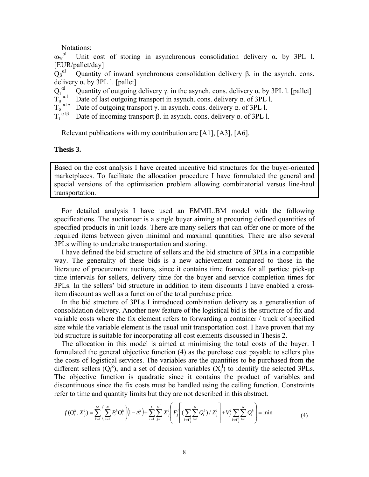Notations:

 $\omega_{\rm w}^{\rm \, \, \, \alpha l}$  Unit cost of storing in asynchronous consolidation delivery α. by 3PL l. [EUR/pallet/day]

 $Q_\beta{}^{\alpha l}$  Quantity of inward synchronous consolidation delivery β. in the asynch. cons. delivery α. by 3PL l. [pallet]

 $Q_\gamma^{\;\; \alpha l}$ Quantity of outgoing delivery γ. in the asynch. cons. delivery α. by 3PL 1. [pallet]

Date of last outgoing transport in asynch. cons. delivery  $\alpha$ . of 3PL l.

 $T_0$ <sup>αlγ</sup> Date of outgoing transport  $\gamma$ , in asynch. cons. delivery  $\alpha$ , of 3PL l.

 $T_1^{\alpha 1\beta}$ Date of incoming transport β. in asynch. cons. delivery  $α$ . of 3PL l.

Relevant publications with my contribution are [A1], [A3], [A6].

#### **Thesis 3.**

Based on the cost analysis I have created incentive bid structures for the buyer-oriented marketplaces. To facilitate the allocation procedure I have formulated the general and special versions of the optimisation problem allowing combinatorial versus line-haul transportation.

For detailed analysis I have used an EMMIL.BM model with the following specifications. The auctioneer is a single buyer aiming at procuring defined quantities of specified products in unit-loads. There are many sellers that can offer one or more of the required items between given minimal and maximal quantities. There are also several 3PLs willing to undertake transportation and storing.

I have defined the bid structure of sellers and the bid structure of 3PLs in a compatible way. The generality of these bids is a new achievement compared to those in the literature of procurement auctions, since it contains time frames for all parties: pick-up time intervals for sellers, delivery time for the buyer and service completion times for 3PLs. In the sellers' bid structure in addition to item discounts I have enabled a crossitem discount as well as a function of the total purchase price.

In the bid structure of 3PLs I introduced combination delivery as a generalisation of consolidation delivery. Another new feature of the logistical bid is the structure of fix and variable costs where the fix element refers to forwarding a container / truck of specified size while the variable element is the usual unit transportation cost. I have proven that my bid structure is suitable for incorporating all cost elements discussed in Thesis 2.

The allocation in this model is aimed at minimising the total costs of the buyer. I formulated the general objective function (4) as the purchase cost payable to sellers plus the costs of logistical services. The variables are the quantities to be purchased from the different sellers  $(Q_i^k)$ , and a set of decision variables  $(X_i^l)$  to identify the selected 3PLs. The objective function is quadratic since it contains the product of variables and discontinuous since the fix costs must be handled using the ceiling function. Constraints refer to time and quantity limits but they are not described in this abstract.

$$
f(Q_i^k, X_j^l) = \sum_{k=1}^M \left( \sum_{i=1}^N P_i^k Q_i^k \right) \left(1 - \Delta^k\right) + \sum_{l=1}^L \sum_{j=1}^{G^l} X_j^l \left(F_j^l \left( \sum_{k \in \Gamma_j^l} \sum_{i=1}^N Q_i^k \right) / Z_j^l\right) + V_j^l \sum_{k \in \Gamma_j^l} \sum_{i=1}^N Q_i^k \right) = \min \tag{4}
$$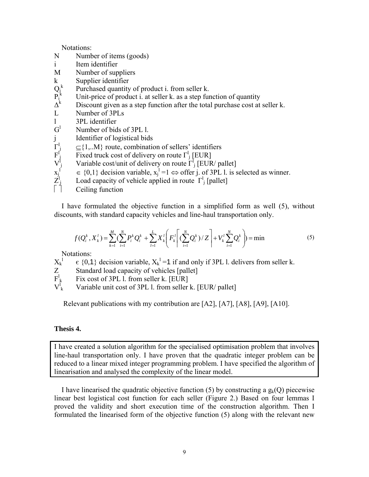Notations:

- N Number of items (goods)
- i Item identifier
- M Number of suppliers
- k Supplier identifier
- $Q_i^k$ Purchased quantity of product i. from seller k.
- $\tilde{P_{i}^{k}}$ Unit-price of product i. at seller k. as a step function of quantity
- $\Delta^{\rm k}$ Discount given as a step function after the total purchase cost at seller k.
- L Number of 3PLs
- l 3PL identifier
- $G^1$ Number of bids of 3PL l.
- Identifier of logistical bids
- $\Gamma^{\rm l}$  $\subset$ {1,..M} route, combination of sellers' identifiers
- $F^I$ Fixed truck cost of delivery on route  $\Gamma^1$  [EUR]
- $V^{\text{I}}$ Variable cost/unit of delivery on route  $\Gamma_1^{\text{I}}$  [EUR/ pallet]
- $x_j^{\perp}$  $\in \{0,1\}$  decision variable,  $x_j^1 = 1 \Leftrightarrow$  offer j. of 3PL l. is selected as winner.
- $\mathcal{I}^{\text{l}}$  $\mu_{\rm i}$  Load capacity of vehicle applied in route  $\Gamma_{\rm i}^{\rm l}$  [pallet]
- Ceiling function

I have formulated the objective function in a simplified form as well (5), without discounts, with standard capacity vehicles and line-haul transportation only.

$$
f(Q_i^k, X_k^l) = \sum_{k=1}^M \left( \sum_{i=1}^N P_i^k Q_i^k + \sum_{l=1}^L X_k^l \left( F_k^l \left( \sum_{i=1}^N Q_i^k \right) / Z \right) + V_k^l \sum_{i=1}^N Q_i^k \right) = \min \tag{5}
$$

Notations:

- $\rm X_k^{\,l}$  $\epsilon$  {0,1} decision variable,  $X_k^1 = 1$  if and only if 3PL 1. delivers from seller k.
- Standard load capacity of vehicles [pallet]  $\frac{Z}{F^l_k}$
- Fix cost of 3PL l. from seller k. [EUR]
- $V^l_{\ k}$ Variable unit cost of 3PL l. from seller k. [EUR/ pallet]

Relevant publications with my contribution are [A2], [A7], [A8], [A9], [A10].

# **Thesis 4.**

I have created a solution algorithm for the specialised optimisation problem that involves line-haul transportation only. I have proven that the quadratic integer problem can be reduced to a linear mixed integer programming problem. I have specified the algorithm of linearisation and analysed the complexity of the linear model.

I have linearised the quadratic objective function (5) by constructing a  $g_k(Q)$  piecewise linear best logistical cost function for each seller (Figure 2.) Based on four lemmas I proved the validity and short execution time of the construction algorithm. Then I formulated the linearised form of the objective function (5) along with the relevant new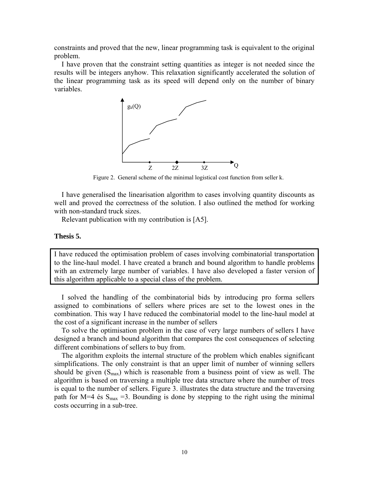constraints and proved that the new, linear programming task is equivalent to the original problem.

I have proven that the constraint setting quantities as integer is not needed since the results will be integers anyhow. This relaxation significantly accelerated the solution of the linear programming task as its speed will depend only on the number of binary variables.



Figure 2. General scheme of the minimal logistical cost function from seller k.

I have generalised the linearisation algorithm to cases involving quantity discounts as well and proved the correctness of the solution. I also outlined the method for working with non-standard truck sizes.

Relevant publication with my contribution is [A5].

# **Thesis 5.**

I have reduced the optimisation problem of cases involving combinatorial transportation to the line-haul model. I have created a branch and bound algorithm to handle problems with an extremely large number of variables. I have also developed a faster version of this algorithm applicable to a special class of the problem.

I solved the handling of the combinatorial bids by introducing pro forma sellers assigned to combinations of sellers where prices are set to the lowest ones in the combination. This way I have reduced the combinatorial model to the line-haul model at the cost of a significant increase in the number of sellers

To solve the optimisation problem in the case of very large numbers of sellers I have designed a branch and bound algorithm that compares the cost consequences of selecting different combinations of sellers to buy from.

The algorithm exploits the internal structure of the problem which enables significant simplifications. The only constraint is that an upper limit of number of winning sellers should be given  $(S_{\text{max}})$  which is reasonable from a business point of view as well. The algorithm is based on traversing a multiple tree data structure where the number of trees is equal to the number of sellers. Figure 3. illustrates the data structure and the traversing path for M=4 és  $S_{max}$  =3. Bounding is done by stepping to the right using the minimal costs occurring in a sub-tree.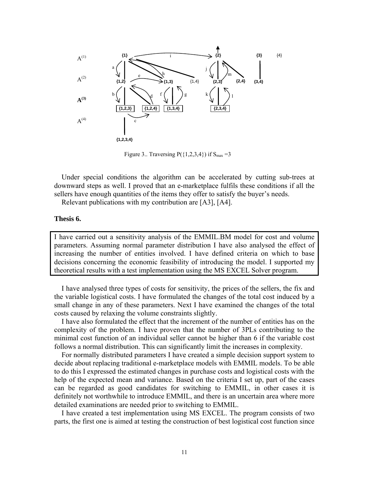

Figure 3.. Traversing  $P({1,2,3,4})$  if  $S<sub>max</sub> = 3$ 

Under special conditions the algorithm can be accelerated by cutting sub-trees at downward steps as well. I proved that an e-marketplace fulfils these conditions if all the sellers have enough quantities of the items they offer to satisfy the buyer's needs.

Relevant publications with my contribution are [A3], [A4].

# **Thesis 6.**

I have carried out a sensitivity analysis of the EMMIL.BM model for cost and volume parameters. Assuming normal parameter distribution I have also analysed the effect of increasing the number of entities involved. I have defined criteria on which to base decisions concerning the economic feasibility of introducing the model. I supported my theoretical results with a test implementation using the MS EXCEL Solver program.

I have analysed three types of costs for sensitivity, the prices of the sellers, the fix and the variable logistical costs. I have formulated the changes of the total cost induced by a small change in any of these parameters. Next I have examined the changes of the total costs caused by relaxing the volume constraints slightly.

I have also formulated the effect that the increment of the number of entities has on the complexity of the problem. I have proven that the number of 3PLs contributing to the minimal cost function of an individual seller cannot be higher than 6 if the variable cost follows a normal distribution. This can significantly limit the increases in complexity.

For normally distributed parameters I have created a simple decision support system to decide about replacing traditional e-marketplace models with EMMIL models. To be able to do this I expressed the estimated changes in purchase costs and logistical costs with the help of the expected mean and variance. Based on the criteria I set up, part of the cases can be regarded as good candidates for switching to EMMIL, in other cases it is definitely not worthwhile to introduce EMMIL, and there is an uncertain area where more detailed examinations are needed prior to switching to EMMIL.

I have created a test implementation using MS EXCEL. The program consists of two parts, the first one is aimed at testing the construction of best logistical cost function since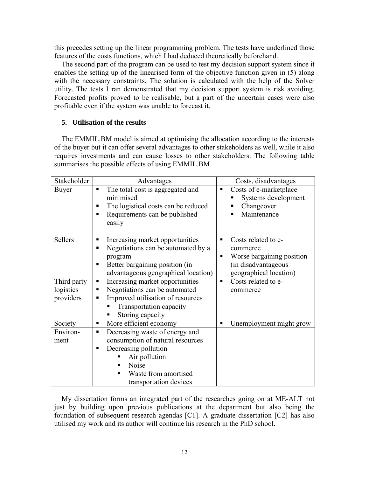this precedes setting up the linear programming problem. The tests have underlined those features of the costs functions, which I had deduced theoretically beforehand.

The second part of the program can be used to test my decision support system since it enables the setting up of the linearised form of the objective function given in (5) along with the necessary constraints. The solution is calculated with the help of the Solver utility. The tests I ran demonstrated that my decision support system is risk avoiding. Forecasted profits proved to be realisable, but a part of the uncertain cases were also profitable even if the system was unable to forecast it.

# **5. Utilisation of the results**

The EMMIL.BM model is aimed at optimising the allocation according to the interests of the buyer but it can offer several advantages to other stakeholders as well, while it also requires investments and can cause losses to other stakeholders. The following table summarises the possible effects of using EMMIL.BM.

| Stakeholder            | Advantages                                                                                                                                                                                         | Costs, disadvantages                                                                                                    |
|------------------------|----------------------------------------------------------------------------------------------------------------------------------------------------------------------------------------------------|-------------------------------------------------------------------------------------------------------------------------|
| <b>Buyer</b>           | The total cost is aggregated and<br>٠<br>minimised<br>The logistical costs can be reduced<br>٠<br>Requirements can be published<br>٠<br>easily                                                     | Costs of e-marketplace<br>П<br>Systems development<br>Changeover<br>п<br>Maintenance                                    |
| Sellers                | Increasing market opportunities<br>٠<br>Negotiations can be automated by a<br>п<br>program<br>Better bargaining position (in<br>Π<br>advantageous geographical location)                           | Costs related to e-<br>٠<br>commerce<br>Worse bargaining position<br>▪<br>(in disadvantageous<br>geographical location) |
| Third party            | Increasing market opportunities<br>п                                                                                                                                                               | Costs related to e-<br>$\blacksquare$                                                                                   |
| logistics<br>providers | Negotiations can be automated<br>٠<br>Improved utilisation of resources<br>п<br><b>Transportation capacity</b><br>Storing capacity                                                                 | commerce                                                                                                                |
| Society                | More efficient economy<br>٠                                                                                                                                                                        | Unemployment might grow<br>$\blacksquare$                                                                               |
| Environ-<br>ment       | Decreasing waste of energy and<br>$\blacksquare$<br>consumption of natural resources<br>Decreasing pollution<br>▪<br>Air pollution<br>Noise<br>٠<br>Waste from amortised<br>transportation devices |                                                                                                                         |

My dissertation forms an integrated part of the researches going on at ME-ALT not just by building upon previous publications at the department but also being the foundation of subsequent research agendas [C1]. A graduate dissertation [C2] has also utilised my work and its author will continue his research in the PhD school.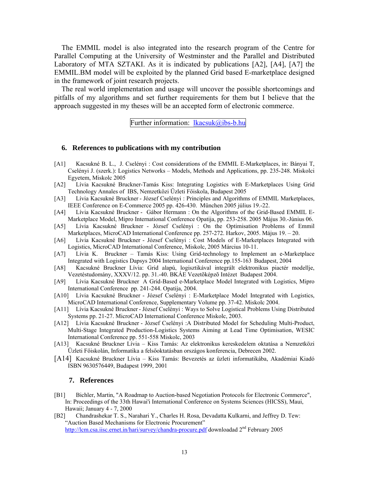The EMMIL model is also integrated into the research program of the Centre for Parallel Computing at the University of Westminster and the Parallel and Distributed Laboratory of MTA SZTAKI. As it is indicated by publications [A2], [A4], [A7] the EMMIL.BM model will be exploited by the planned Grid based E-marketplace designed in the framework of joint research projects.

The real world implementation and usage will uncover the possible shortcomings and pitfalls of my algorithms and set further requirements for them but I believe that the approach suggested in my theses will be an accepted form of electronic commerce.

Further information: lkacsuk@ibs-b.hu

#### **6. References to publications with my contribution**

- [A1] Kacsukné B. L., J. Cselényi : Cost considerations of the EMMIL E-Marketplaces, in: Bányai T, Cselényi J. (szerk.): Logistics Networks – Models, Methods and Applications, pp. 235-248. Miskolci Egyetem, Miskolc 2005
- [A2] Lívia Kacsukné Bruckner-Tamás Kiss: Integrating Logistics with E-Marketplaces Using Grid Technology Annales of IBS, Nemzetközi Üzleti Főiskola, Budapest 2005
- [A3] Lívia Kacsukné Bruckner József Cselényi : Principles and Algorithms of EMMIL Marketplaces, IEEE Conference on E-Commerce 2005 pp. 426-430. München 2005 július 19.-22.
- [A4] Lívia Kacsukné Bruckner Gábor Hermann : On the Algorithms of the Grid-Based EMMIL E-Marketplace Model, Mipro International Conference Opatija, pp. 253-258. 2005 Május 30.-Június 06.
- [A5] Lívia Kacsukné Bruckner József Cselényi : On the Optimisation Problems of Emmil Marketplaces, MicroCAD International Conference pp. 257-272. Harkov, 2005. Május 19. – 20.
- [A6] Lívia Kacsukné Bruckner József Cselényi : Cost Models of E-Marketplaces Integrated with Logistics, MicroCAD International Conference, Miskolc, 2005 Március 10-11.
- [A7] Lívia K. Bruckner Tamás Kiss: Using Grid-technology to Implement an e-Marketplace Integrated with Logistics Dapsys 2004 International Conference pp.155-163 Budapest, 2004
- [A8] Kacsukné Bruckner Lívia: Grid alapú, logisztikával integrált elektronikus piactér modellje, Vezetéstudomány, XXXV/12. pp. 31.-40. BKÁE Vezetõképzõ Intézet Budapest 2004.
- [A9] Lívia Kacsukné Bruckner A Grid-Based e-Marketplace Model Integrated with Logistics, Mipro International Conference pp. 241-244. Opatija, 2004.
- [A10] Lívia Kacsukné Bruckner József Cselényi : E-Marketplace Model Integrated with Logistics, MicroCAD International Conference, Supplementary Volume pp. 37-42. Miskolc 2004.
- [A11] Lívia Kacsukné Bruckner József Cselényi : Ways to Solve Logistical Problems Using Distributed Systems pp. 21-27. MicroCAD International Conference Miskolc, 2003.
- [A12] Lívia Kacsukné Bruckner József Cselényi :A Distributed Model for Scheduling Multi-Product, Multi-Stage Integrated Production-Logistics Systems Aiming at Lead Time Optimisation, WESIC International Conference pp. 551-558 Miskolc, 2003
- [A13] Kacsukné Bruckner Lívia Kiss Tamás: Az elektronikus kereskedelem oktatása a Nemzetközi Üzleti Főiskolán, Informatika a felsőoktatásban országos konferencia, Debrecen 2002.
- [A14] Kacsukné Bruckner Lívia Kiss Tamás: Bevezetés az üzleti informatikába, Akadémiai Kiadó ISBN 9630576449, Budapest 1999, 2001

#### **7. References**

- [B1] Bichler, Martin, "A Roadmap to Auction-based Negotiation Protocols for Electronic Commerce", In: Proceedings of the 33th Hawai'i International Conference on Systems Sciences (HICSS), Maui, Hawaii; January 4 - 7, 2000
- [B2] Chandrashekar T. S., Narahari Y., Charles H. Rosa, Devadatta Kulkarni, and Jeffrey D. Tew: "Auction Based Mechanisms for Electronic Procurement" http://lcm.csa.iisc.ernet.in/hari/survey/chandra-procure.pdf downloadad 2<sup>nd</sup> February 2005